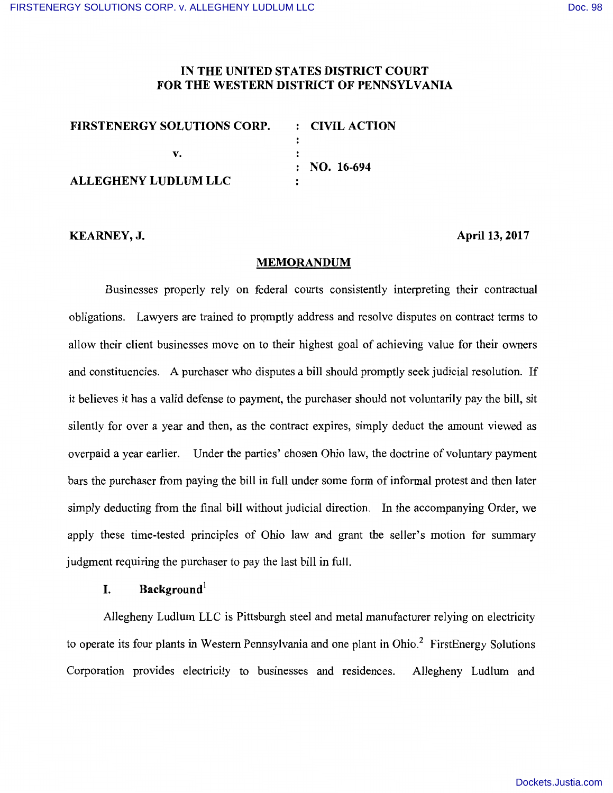### **IN THE UNITED STATES DISTRICT COURT FOR THE WESTERN DISTRICT OF PENNSYLVANIA**

| <b>FIRSTENERGY SOLUTIONS CORP.</b> | $\therefore$ CIVIL ACTION |
|------------------------------------|---------------------------|
|                                    |                           |
|                                    |                           |
|                                    | $\therefore$ NO. 16-694   |
| <b>ALLEGHENY LUDLUM LLC</b>        |                           |

#### **KEARNEY,J.**

**April 13, 2017** 

#### **MEMORANDUM**

Businesses properly rely on federal courts consistently interpreting their contractual obligations. Lawyers are trained to promptly address and resolve disputes on contract terms to allow their client businesses move on to their highest goal of achieving value for their owners and constituencies. A purchaser who disputes a bill should promptly seek judicial resolution. If it believes it has a valid defense to payment, the purchaser should not voluntarily pay the bill, sit silently for over a year and then, as the contract expires, simply deduct the amount viewed as overpaid a year earlier. Under the parties' chosen Ohio law, the doctrine of voluntary payment bars the purchaser from paying the bill in full under some form of informal protest and then later simply deducting from the final bill without judicial direction. In the accompanying Order, we apply these time-tested principles of Ohio law and grant the seller's motion for summary judgment requiring the purchaser to pay the last bill in full.

## **I. Background**

Allegheny Ludlum LLC is Pittsburgh steel and metal manufacturer relying on electricity to operate its four plants in Western Pennsylvania and one plant in Ohio.<sup>2</sup> FirstEnergy Solutions Corporation provides electricity to businesses and residences. Allegheny Ludlum and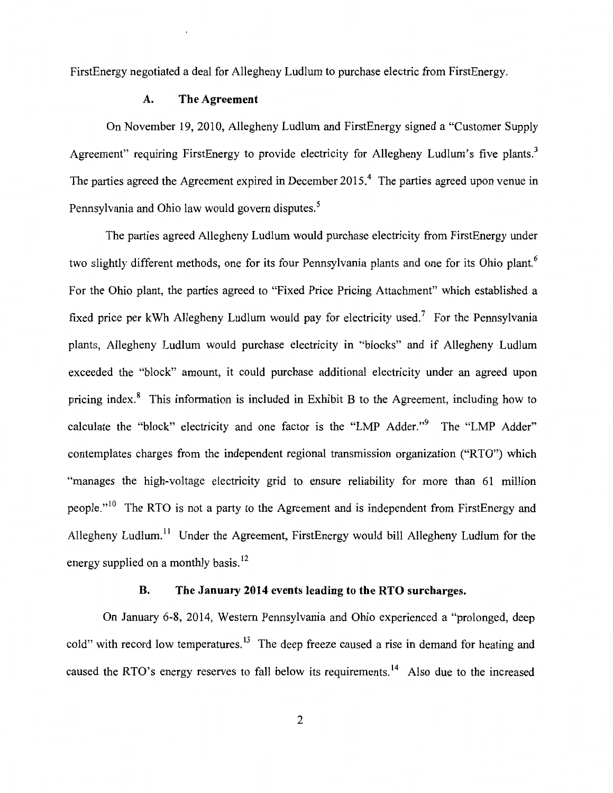FirstEnergy negotiated a deal for Allegheny Ludlum to purchase electric from FirstEnergy.

### **A. The Agreement**

On November 19, 2010, Allegheny Ludlum and FirstEnergy signed a "Customer Supply Agreement" requiring FirstEnergy to provide electricity for Allegheny Ludlum's five plants.<sup>3</sup> The parties agreed the Agreement expired in December 2015.<sup>4</sup> The parties agreed upon venue in Pennsylvania and Ohio law would govern disputes.<sup>5</sup>

The parties agreed Allegheny Ludlum would purchase electricity from FirstEnergy under two slightly different methods, one for its four Pennsylvania plants and one for its Ohio plant.<sup>6</sup> For the Ohio plant, the parties agreed to "Fixed Price Pricing Attachment" which established a fixed price per kWh Allegheny Ludlum would pay for electricity used.<sup>7</sup> For the Pennsylvania plants, Allegheny Ludlum would purchase electricity in "blocks" and if Allegheny Ludlum exceeded the "block" amount, it could purchase additional electricity under an agreed upon pricing index. $\delta$  This information is included in Exhibit B to the Agreement, including how to calculate the "block" electricity and one factor is the "LMP Adder."<sup>9</sup> The "LMP Adder" contemplates charges from the independent regional transmission organization ("RTO") which "manages the high-voltage electricity grid to ensure reliability for more than 61 million people." <sup>10</sup> The RTO is not a party to the Agreement and is independent from FirstEnergy and Allegheny Ludlum.<sup>11</sup> Under the Agreement, FirstEnergy would bill Allegheny Ludlum for the energy supplied on a monthly basis.  $^{12}$ 

## **B. The January 2014 events leading to the RTO surcharges.**

On January 6-8, 2014, Western Pennsylvania and Ohio experienced a "prolonged, deep cold" with record low temperatures.<sup>13</sup> The deep freeze caused a rise in demand for heating and caused the RTO's energy reserves to fall below its requirements.<sup>14</sup> Also due to the increased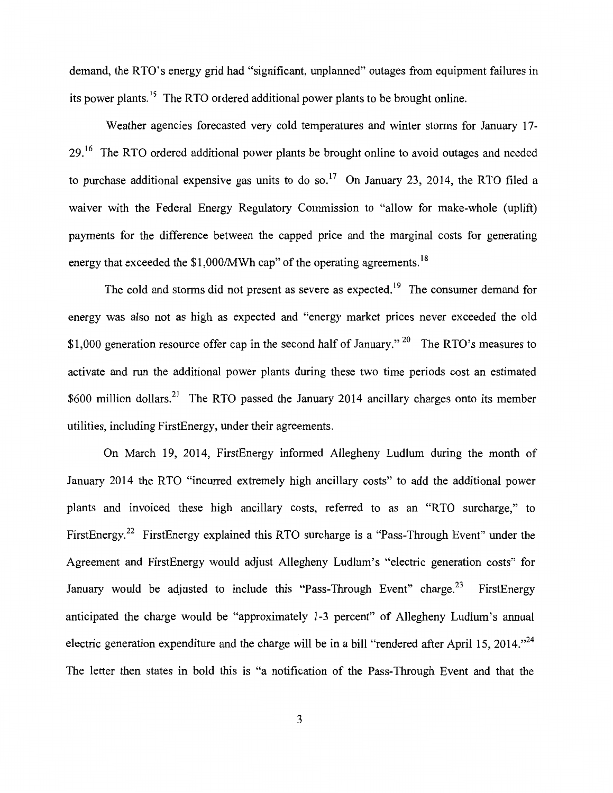demand, the RTO's energy grid had "significant, unplanned" outages from equipment failures in its power plants.<sup>15</sup> The RTO ordered additional power plants to be brought online.

Weather agencies forecasted very cold temperatures and winter storms for January 17- 29.<sup>16</sup> The RTO ordered additional power plants be brought online to avoid outages and needed to purchase additional expensive gas units to do so.<sup>17</sup> On January 23, 2014, the RTO filed a waiver with the Federal Energy Regulatory Commission to "allow for make-whole (uplift) payments for the difference between the capped price and the marginal costs for generating energy that exceeded the  $$1,000/MWh$  cap" of the operating agreements.<sup>18</sup>

The cold and storms did not present as severe as expected.<sup>19</sup> The consumer demand for energy was also not as high as expected and "energy market prices never exceeded the old \$1,000 generation resource offer cap in the second half of January." <sup>20</sup> The RTO's measures to activate and run the additional power plants during these two time periods cost an estimated \$600 million dollars.<sup>21</sup> The RTO passed the January 2014 ancillary charges onto its member utilities, including FirstEnergy, under their agreements.

On March 19, 2014, FirstEnergy informed Allegheny Ludlum during the month of January 2014 the RTO "incurred extremely high ancillary costs" to add the additional power plants and invoiced these high ancillary costs, referred to as an "RTO surcharge," to FirstEnergy.<sup>22</sup> FirstEnergy explained this RTO surcharge is a "Pass-Through Event" under the Agreement and FirstEnergy would adjust Allegheny Ludlum's "electric generation costs" for January would be adjusted to include this "Pass-Through Event" charge.<sup>23</sup> FirstEnergy anticipated the charge would be "approximately 1-3 percent" of Allegheny Ludlum's annual electric generation expenditure and the charge will be in a bill "rendered after April 15, 2014."<sup>24</sup> The letter then states in bold this is "a notification of the Pass-Through Event and that the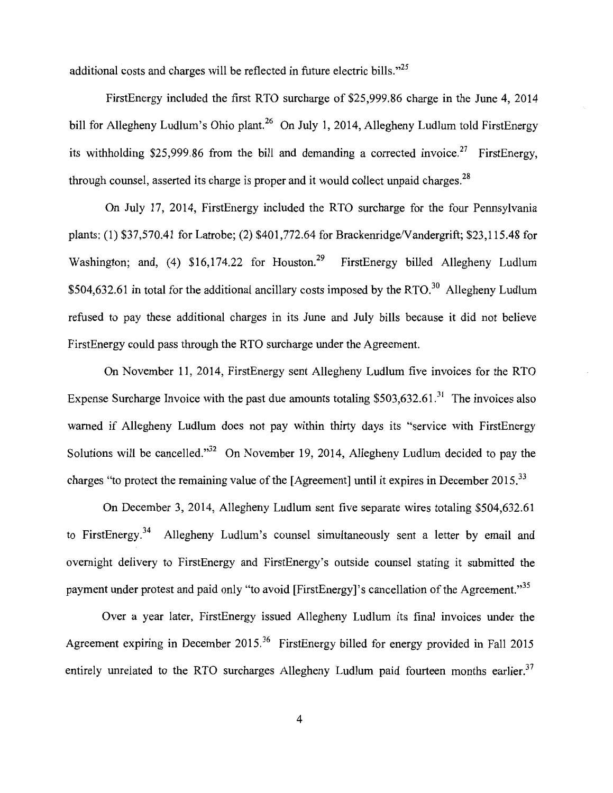additional costs and charges will be reflected in future electric bills."<sup>25</sup>

FirstEnergy included the first RTO surcharge of \$25,999.86 charge in the June 4, 2014 bill for Allegheny Ludlum's Ohio plant.<sup>26</sup> On July 1, 2014, Allegheny Ludlum told FirstEnergy its withholding \$25,999.86 from the bill and demanding a corrected invoice.<sup>27</sup> FirstEnergy, through counsel, asserted its charge is proper and it would collect unpaid charges.<sup>28</sup>

On July 17, 2014, FirstEnergy included the RTO surcharge for the four Pennsylvania plants: (1) \$37,570.41 for Latrobe; (2) \$401,772.64 for Brackenridge/Vandergrift; \$23,115.48 for Washington; and, (4)  $$16,174.22$  for Houston.<sup>29</sup> FirstEnergy billed Allegheny Ludlum  $$504,632.61$  in total for the additional ancillary costs imposed by the RTO.<sup>30</sup> Allegheny Ludlum refused to pay these additional charges in its June and July bills because it did not believe FirstEnergy could pass through the RTO surcharge under the Agreement.

On November 11, 2014, FirstEnergy sent Allegheny Ludlum five invoices for the RTO Expense Surcharge Invoice with the past due amounts totaling  $$503,632.61$ <sup>31</sup> The invoices also warned if Allegheny Ludlum does not pay within thirty days its "service with FirstEnergy Solutions will be cancelled." $32$  On November 19, 2014, Allegheny Ludlum decided to pay the charges "to protect the remaining value of the [Agreement] until it expires in December 2015.<sup>33</sup>

On December 3, 2014, Allegheny Ludlum sent five separate wires totaling \$504,632.61 to FirstEnergy.<sup>34</sup> Allegheny Ludlum's counsel simultaneously sent a letter by email and overnight delivery to FirstEnergy and FirstEnergy's outside counsel stating it submitted the payment under protest and paid only "to avoid [FirstEnergy]'s cancellation of the Agreement."<sup>35</sup>

Over a year later, FirstEnergy issued Allegheny Ludlum its final invoices under the Agreement expiring in December 2015.<sup>36</sup> FirstEnergy billed for energy provided in Fall 2015 entirely unrelated to the RTO surcharges Allegheny Ludlum paid fourteen months earlier.<sup>37</sup>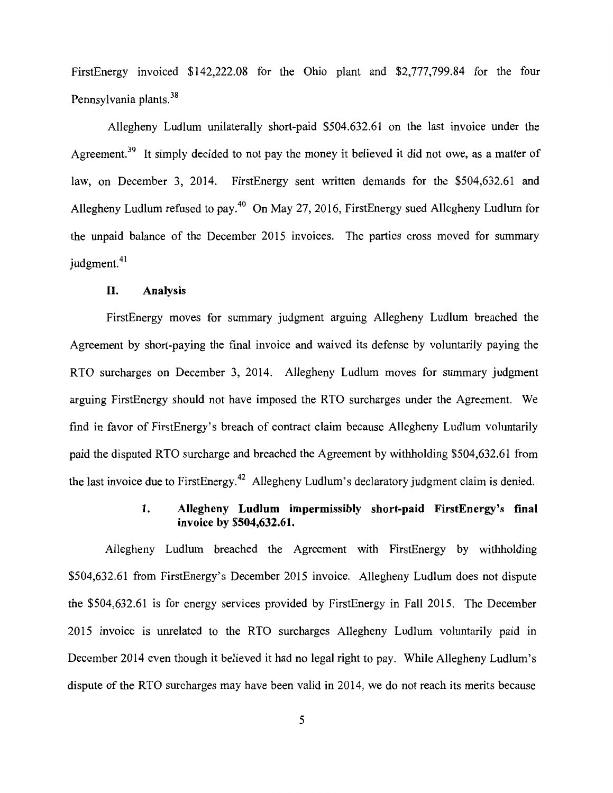FirstEnergy invoiced \$142,222.08 for the Ohio plant and \$2,777,799.84 for the four Pennsylvania plants.<sup>38</sup>

Allegheny Ludlum unilaterally short-paid \$504.632.61 on the last invoice under the Agreement.<sup>39</sup> It simply decided to not pay the money it believed it did not owe, as a matter of law, on December 3, 2014. FirstEnergy sent written demands for the \$504,632.61 and Allegheny Ludlum refused to pay.<sup>40</sup> On May 27, 2016, FirstEnergy sued Allegheny Ludlum for the unpaid balance of the December 2015 invoices. The parties cross moved for summary judgment.<sup>41</sup>

#### **II. Analysis**

FirstEnergy moves for summary judgment arguing Allegheny Ludlum breached the Agreement by short-paying the final invoice and waived its defense by voluntarily paying the RTO surcharges on December 3, 2014. Allegheny Ludlum moves for summary judgment arguing FirstEnergy should not have imposed the RTO surcharges under the Agreement. We find in favor of FirstEnergy's breach of contract claim because Allegheny Ludlum voluntarily paid the disputed RTO surcharge and breached the Agreement by withholding \$504,632.61 from the last invoice due to FirstEnergy.<sup>42</sup> Allegheny Ludlum's declaratory judgment claim is denied.

# **1. Allegheny Ludlum impermissibly short-paid FirstEnergy's final invoice by \$504,632.61.**

Allegheny Ludlum breached the Agreement with FirstEnergy by withholding \$504,632.61 from FirstEnergy's December 2015 invoice. Allegheny Ludlum does not dispute the \$504,632.61 is for energy services provided by FirstEnergy in Fall 2015. The December 2015 invoice is unrelated to the RTO surcharges Allegheny Ludlum voluntarily paid in December 2014 even though it believed it had no legal right to pay. While Allegheny Ludlum's dispute of the RTO surcharges may have been valid in 2014, we do not reach its merits because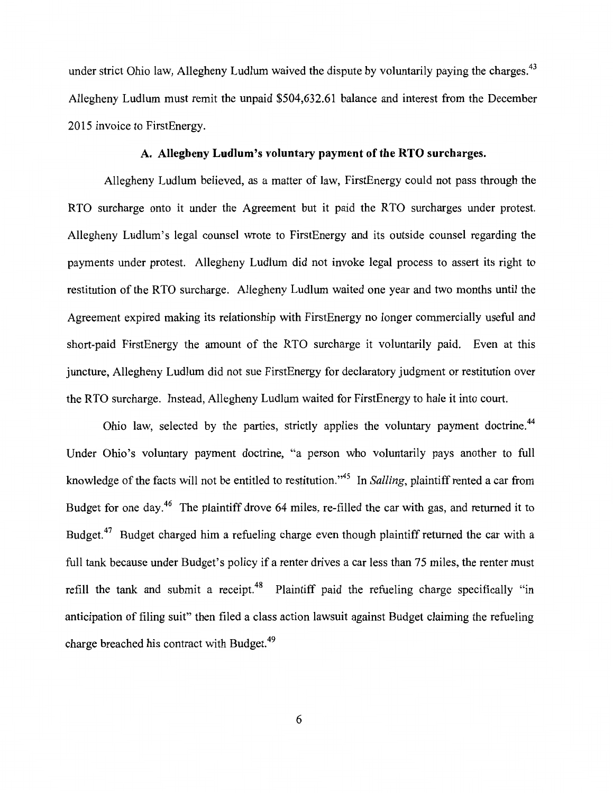under strict Ohio law, Allegheny Ludlum waived the dispute by voluntarily paying the charges.<sup>43</sup> Allegheny Ludlum must remit the unpaid \$504,632.61 balance and interest from the December 2015 invoice to FirstEnergy.

### **A. Allegheny Ludlum's voluntary payment of the RTO surcharges.**

Allegheny Ludlum believed, as a matter of law, FirstEnergy could not pass through the RTO surcharge onto it under the Agreement but it paid the RTO surcharges under protest. Allegheny Ludlum's legal counsel wrote to FirstEnergy and its outside counsel regarding the payments under protest. Allegheny Ludlum did not invoke legal process to assert its right to restitution of the RTO surcharge. Allegheny Ludlum waited one year and two months until the Agreement expired making its relationship with FirstEnergy no longer commercially useful and short-paid FirstEnergy the amount of the RTO surcharge it voluntarily paid. Even at this juncture, Allegheny Ludlum did not sue FirstEnergy for declaratory judgment or restitution over the RTO surcharge. Instead, Allegheny Ludlum waited for FirstEnergy to hale it into court.

Ohio law, selected by the parties, strictly applies the voluntary payment doctrine.<sup>44</sup> Under Ohio's voluntary payment doctrine, "a person who voluntarily pays another to full knowledge of the facts will not be entitled to restitution."<sup>45</sup> In *Salling*, plaintiff rented a car from Budget for one day.<sup>46</sup> The plaintiff drove 64 miles, re-filled the car with gas, and returned it to Budget.<sup>47</sup> Budget charged him a refueling charge even though plaintiff returned the car with a full tank because under Budget's policy if a renter drives a car less than 75 miles, the renter must refill the tank and submit a receipt.<sup>48</sup> Plaintiff paid the refueling charge specifically "in anticipation of filing suit" then filed a class action lawsuit against Budget claiming the refueling charge breached his contract with Budget.<sup>49</sup>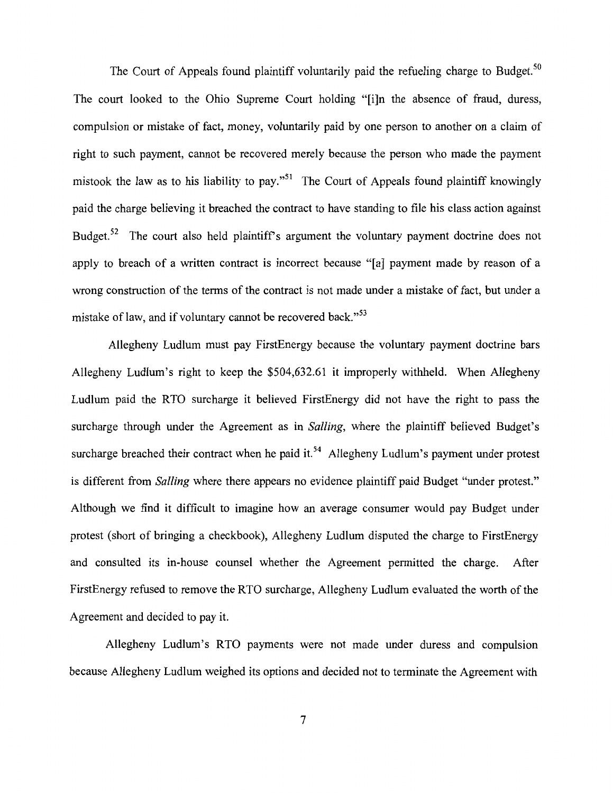The Court of Appeals found plaintiff voluntarily paid the refueling charge to Budget.<sup>50</sup> The court looked to the Ohio Supreme Court holding "[i]n the absence of fraud, duress, compulsion or mistake of fact, money, voluntarily paid by one person to another on a claim of right to such payment, cannot be recovered merely because the person who made the payment mistook the law as to his liability to pay."<sup>51</sup> The Court of Appeals found plaintiff knowingly paid the charge believing it breached the contract to have standing to file his class action against Budget.<sup>52</sup> The court also held plaintiff's argument the voluntary payment doctrine does not apply to breach of a written contract is incorrect because "[a] payment made by reason of a wrong construction of the terms of the contract is not made under a mistake of fact, but under a mistake of law, and if voluntary cannot be recovered back."<sup>53</sup>

Allegheny Ludlum must pay FirstEnergy because the voluntary payment doctrine bars Allegheny Ludlum's right to keep the \$504,632.61 it improperly withheld. When Allegheny Ludlum paid the RTO surcharge it believed FirstEnergy did not have the right to pass the surcharge through under the Agreement as in *Salling,* where the plaintiff believed Budget's surcharge breached their contract when he paid it.<sup>54</sup> Allegheny Ludlum's payment under protest is different from *Salling* where there appears no evidence plaintiff paid Budget "under protest." Although we find it difficult to imagine how an average consumer would pay Budget under protest (short of bringing a checkbook), Allegheny Ludlum disputed the charge to FirstEnergy and consulted its in-house counsel whether the Agreement permitted the charge. After FirstEnergy refused to remove the RTO surcharge, Allegheny Ludlum evaluated the worth of the Agreement and decided to pay it.

Allegheny Ludlum's RTO payments were not made under duress and compulsion because Allegheny Ludlum weighed its options and decided not to terminate the Agreement with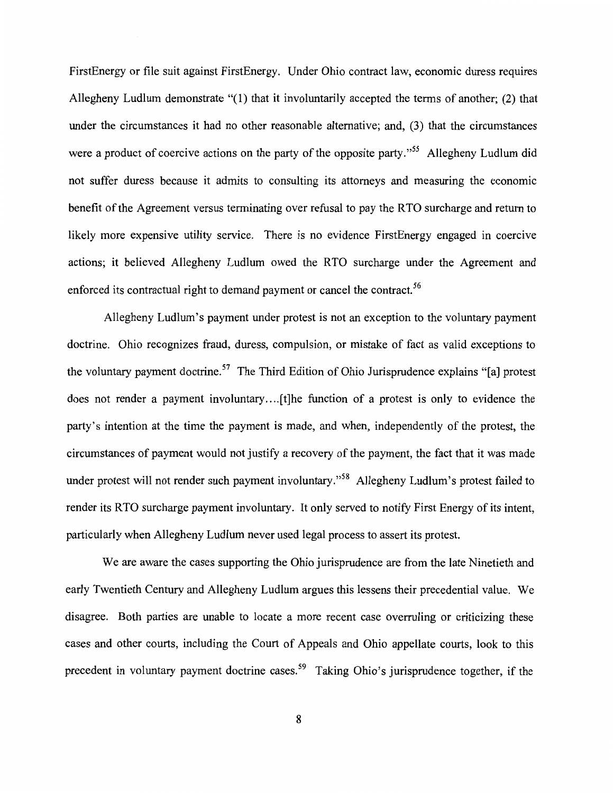FirstEnergy or file suit against FirstEnergy. Under Ohio contract law, economic duress requires Allegheny Ludlum demonstrate "(l) that it involuntarily accepted the terms of another; (2) that under the circumstances it had no other reasonable alternative; and, (3) that the circumstances were a product of coercive actions on the party of the opposite party."<sup>55</sup> Allegheny Ludlum did not suffer duress because it admits to consulting its attorneys and measuring the economic benefit of the Agreement versus terminating over refusal to pay the RTO surcharge and return to likely more expensive utility service. There is no evidence FirstEnergy engaged in coercive actions; it believed Allegheny Ludlum owed the RTO surcharge under the Agreement and enforced its contractual right to demand payment or cancel the contract.<sup>56</sup>

Allegheny Ludlum's payment under protest is not an exception to the voluntary payment doctrine. Ohio recognizes fraud, duress, compulsion, or mistake of fact as valid exceptions to the voluntary payment doctrine.<sup>57</sup> The Third Edition of Ohio Jurisprudence explains "[a] protest does not render a payment involuntary.... [t]he function of a protest is only to evidence the party's intention at the time the payment is made, and when, independently of the protest, the circumstances of payment would not justify a recovery of the payment, the fact that it was made under protest will not render such payment involuntary."<sup>58</sup> Allegheny Ludlum's protest failed to render its RTO surcharge payment involuntary. It only served to notify First Energy of its intent, particularly when Allegheny Ludlum never used legal process to assert its protest.

We are aware the cases supporting the Ohio jurisprudence are from the late Ninetieth and early Twentieth Century and Allegheny Ludlum argues this lessens their precedential value. We disagree. Both parties are unable to locate a more recent case overruling or criticizing these cases and other courts, including the Court of Appeals and Ohio appellate courts, look to this precedent in voluntary payment doctrine cases.<sup>59</sup> Taking Ohio's jurisprudence together, if the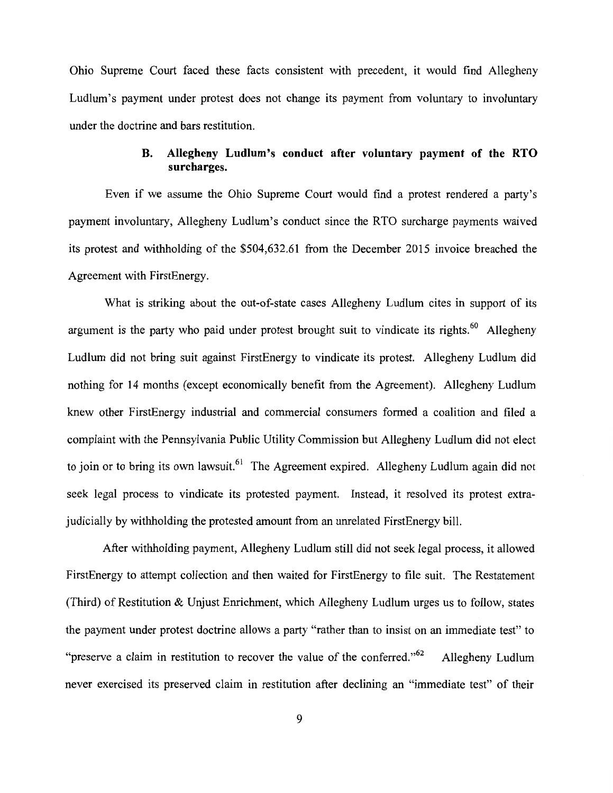Ohio Supreme Court faced these facts consistent with precedent, it would find Allegheny Ludlum's payment under protest does not change its payment from voluntary to involuntary under the doctrine and bars restitution.

# **B. Allegheny Ludlum's conduct after voluntary payment of the RTO surcharges.**

Even if we assume the Ohio Supreme Court would find a protest rendered a party's payment involuntary, Allegheny Ludlum's conduct since the RTO surcharge payments waived its protest and withholding of the \$504,632.61 from the December 2015 invoice breached the Agreement with FirstEnergy.

What is striking about the out-of-state cases Allegheny Ludlum cites in support of its argument is the party who paid under protest brought suit to vindicate its rights.<sup>60</sup> Allegheny Ludlum did not bring suit against FirstEnergy to vindicate its protest. Allegheny Ludlum did nothing for 14 months (except economically benefit from the Agreement). Allegheny Ludlum knew other FirstEnergy industrial and commercial consumers formed a coalition and filed a complaint with the Pennsylvania Public Utility Commission but Allegheny Ludlum did not elect to join or to bring its own lawsuit.<sup>61</sup> The Agreement expired. Allegheny Ludlum again did not seek legal process to vindicate its protested payment. Instead, it resolved its protest extrajudicially by withholding the protested amount from an unrelated FirstEnergy bill.

After withholding payment, Allegheny Ludlum still did not seek legal process, it allowed FirstEnergy to attempt collection and then waited for FirstEnergy to file suit. The Restatement (Third) of Restitution & Unjust Enrichment, which Allegheny Ludlum urges us to follow, states the payment under protest doctrine allows a party "rather than to insist on an immediate test" to "preserve a claim in restitution to recover the value of the conferred."<sup>62</sup> Allegheny Ludlum never exercised its preserved claim in restitution after declining an "immediate test" of their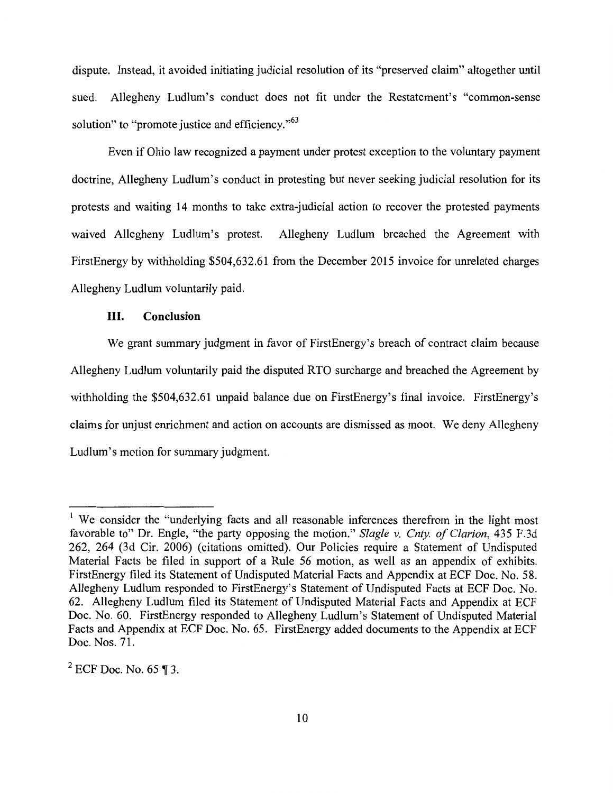dispute. Instead, it avoided initiating judicial resolution of its "preserved claim" altogether until sued. Allegheny Ludlum's conduct does not fit under the Restatement's "common-sense solution" to "promote justice and efficiency."<sup>63</sup>

Even if Ohio law recognized a payment under protest exception to the voluntary payment doctrine, Allegheny Ludlum's conduct in protesting but never seeking judicial resolution for its protests and waiting 14 months to take extra-judicial action to recover the protested payments waived Allegheny Ludlum's protest. Allegheny Ludlum breached the Agreement with FirstEnergy by withholding \$504,632.61 from the December 2015 invoice for unrelated charges Allegheny Ludlum voluntarily paid.

### III. **Conclusion**

We grant summary judgment in favor of FirstEnergy's breach of contract claim because Allegheny Ludlum voluntarily paid the disputed RTO surcharge and breached the Agreement by withholding the \$504,632.61 unpaid balance due on FirstEnergy's final invoice. FirstEnergy's claims for unjust enrichment and action on accounts are dismissed as moot. We deny Allegheny Ludlum's motion for summary judgment.

<sup>&</sup>lt;sup>1</sup> We consider the "underlying facts and all reasonable inferences therefrom in the light most favorable to" Dr. Engle, "the party opposing the motion." *Slagle v. Cnty. of Clarion,* 435 F.3d 262, 264 (3d Cir. 2006) (citations omitted). Our Policies require a Statement of Undisputed Material Facts be filed in support of a Rule 56 motion, as well as an appendix of exhibits. FirstEnergy filed its Statement of Undisputed Material Facts and Appendix at ECF Doc. No. 58. Allegheny Ludlum responded to FirstEnergy's Statement of Undisputed Facts at ECF Doc. No. 62. Allegheny Ludlum filed its Statement of Undisputed Material Facts and Appendix at ECF Doc. No. 60. FirstEnergy responded to Allegheny Ludlum's Statement of Undisputed Material Facts and Appendix at ECF Doc. No. 65. FirstEnergy added documents to the Appendix at ECF Doc. Nos. 71.

 $2$  ECF Doc. No. 65 ¶ 3.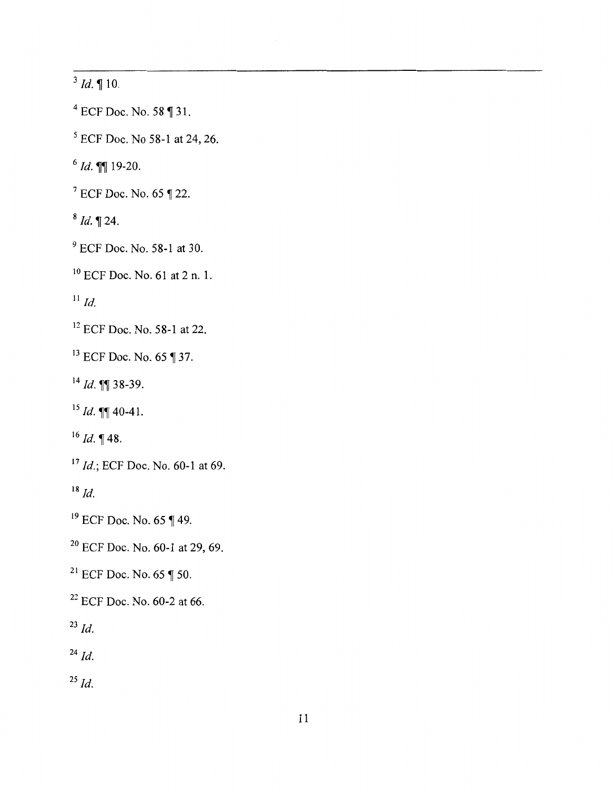$3$  *Id.* 10.

 $4$  ECF Doc. No. 58 ¶ 31.

 $5$  ECF Doc. No 58-1 at 24, 26.

<sup>6</sup>*Id.* 19-20.

 $7$  ECF Doc. No. 65 ¶ 22.

 $8 \text{ Id.} \text{ } \P 24.$ 

<sup>9</sup> ECF Doc. No. 58-1 at 30.

<sup>10</sup> ECF Doc. No. 61 at 2 n. 1.

 $^{11}$  *Id.* 

<sup>12</sup> ECF Doc. No. 58-1 at 22.

 $13$  ECF Doc. No. 65 ¶ 37.

 $14$  *Id.* **[1]** 38-39.

<sup>15</sup> *Id.*  $\P\P$  40-41.

 $16$  *Id.* 148.

<sup>17</sup> *Id.*; ECF Doc. No. 60-1 at 69.

<sup>18</sup>*Id.* 

 $19$  ECF Doc. No. 65 ¶ 49.

<sup>20</sup> ECF Doc. No. 60-1 at 29, 69.

<sup>21</sup> ECF Doc. No. 65  $\P$  50.

<sup>22</sup> ECF Doc. No. 60-2 at 66.

 $^{23}$  *Id.* 

 $^{24}$  *Id.* 

<sup>25</sup>*Id.*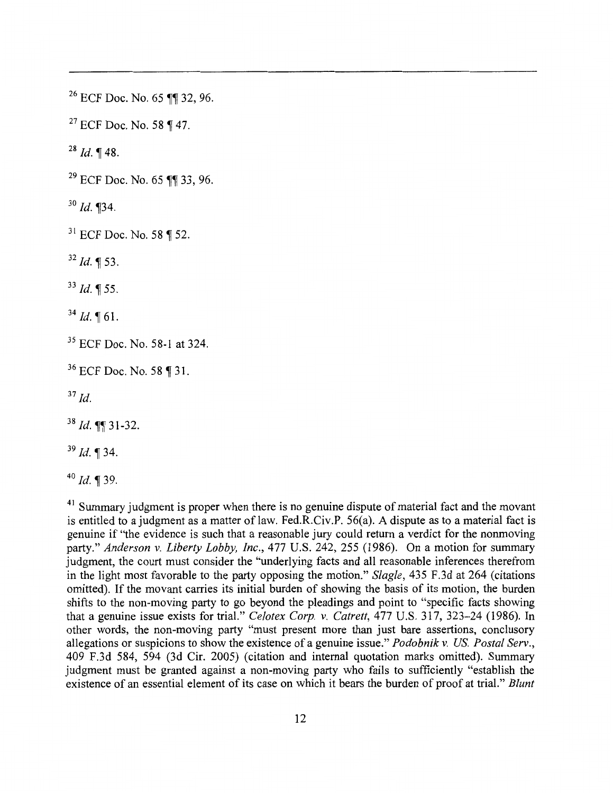<sup>26</sup> ECF Doc. No. 65 ¶¶ 32, 96.

<sup>27</sup> ECF Doc. No. 58 ¶ 47.

 $^{28}$  *Id.* ¶ 48.

 $29$  ECF Doc. No. 65 11 33, 96.

 $30$  *Id.* **134**.

 $31$  ECF Doc. No. 58 ¶ 52.

 $32$  *Id.* ¶ 53.

 $^{33}$  Id. ¶ 55.

 $34$  *Id.* 161.

<sup>35</sup> ECF Doc. No. 58-1 at 324.

<sup>36</sup> ECF Doc. No. 58 ¶ 31.

 $37$  *Id.* 

<sup>38</sup> Id. **11** 31-32.

 $39$  Id. 1 34.

 $40$  *Id.* 1 39.

 $41$  Summary judgment is proper when there is no genuine dispute of material fact and the movant is entitled to a judgment as a matter of law. Fed.R.Civ.P. 56(a). A dispute as to a material fact is genuine if "the evidence is such that a reasonable jury could return a verdict for the nonmoving party." *Anderson v. Liberty Lobby, Inc.,* 477 U.S. 242, 255 (1986). On a motion for summary judgment, the court must consider the "underlying facts and all reasonable inferences therefrom in the light most favorable to the party opposing the motion." *Slagle,* 435 F.3d at 264 (citations omitted). If the movant carries its initial burden of showing the basis of its motion, the burden shifts to the non-moving party to go beyond the pleadings and point to "specific facts showing that a genuine issue exists for trial." *Celotex Corp. v. Catrett,* 477 U.S. 317, 323-24 (1986). In other words, the non-moving party "must present more than just bare assertions, conclusory allegations or suspicions to show the existence of a genuine issue." *Podobnik v. US. Postal Serv.,*  409 F.3d 584, 594 (3d Cir. 2005) (citation and internal quotation marks omitted). Summary judgment must be granted against a non-moving party who fails to sufficiently "establish the existence of an essential element of its case on which it bears the burden of proof at trial." *Blunt*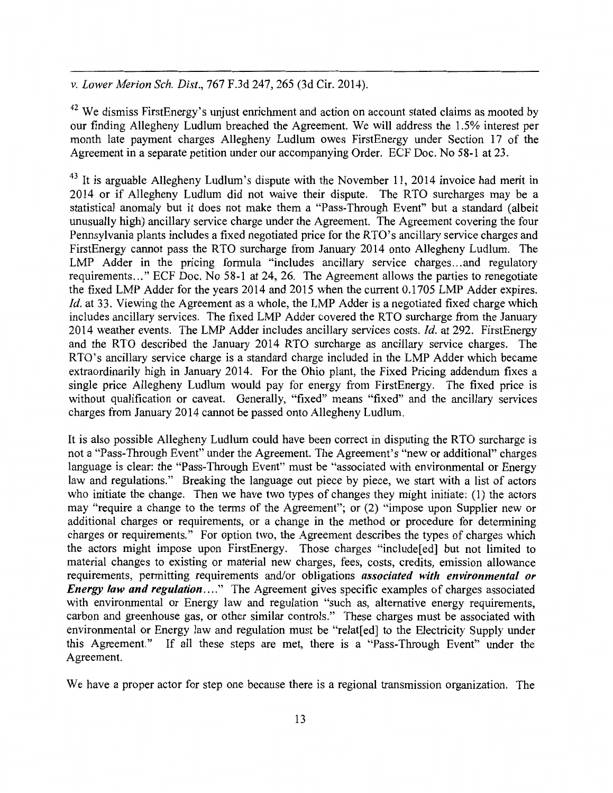*v. Lower Merion Sch. Dist.,* 767 F.3d 247, 265 (3d Cir. 2014).

 $42$  We dismiss FirstEnergy's unjust enrichment and action on account stated claims as mooted by our finding Allegheny Ludlum breached the Agreement. We will address the 1.5% interest per month late payment charges Allegheny Ludlum owes FirstEnergy under Section 17 of the Agreement in a separate petition under our accompanying Order. ECF Doc. No 58-1 at 23.

 $43$  It is arguable Allegheny Ludlum's dispute with the November 11, 2014 invoice had merit in 2014 or if Allegheny Ludlum did not waive their dispute. The RTO surcharges may be a statistical anomaly but it does not make them a "Pass-Through Event" but a standard (albeit unusually high) ancillary service charge under the Agreement. The Agreement covering the four Pennsylvania plants includes a fixed negotiated price for the RTO's ancillary service charges and FirstEnergy cannot pass the RTO surcharge from January 2014 onto Allegheny Ludlum. The LMP Adder in the pricing formula "includes ancillary service charges...and regulatory requirements ... " ECF Doc. No 58-1 at 24, 26. The Agreement allows the parties to renegotiate the fixed LMP Adder for the years 2014 and 2015 when the current 0.1705 LMP Adder expires. *Id.* at 33. Viewing the Agreement as a whole, the LMP Adder is a negotiated fixed charge which includes ancillary services. The fixed LMP Adder covered the RTO surcharge from the January 2014 weather events. The LMP Adder includes ancillary services costs. *Id.* at 292. FirstEnergy and the RTO described the January 2014 RTO surcharge as ancillary service charges. The RTO's ancillary service charge is a standard charge included in the LMP Adder which became extraordinarily high in January 2014. For the Ohio plant, the Fixed Pricing addendum fixes a single price Allegheny Ludlum would pay for energy from FirstEnergy. The fixed price is without qualification or caveat. Generally, "fixed" means "fixed" and the ancillary services charges from January 2014 cannot be passed onto Allegheny Ludlum.

It is also possible Allegheny Ludlum could have been correct in disputing the R TO surcharge is not a "Pass-Through Event" under the Agreement. The Agreement's "new or additional" charges language is clear: the "Pass-Through Event" must be "associated with environmental or Energy law and regulations." Breaking the language out piece by piece, we start with a list of actors who initiate the change. Then we have two types of changes they might initiate: (1) the actors may "require a change to the terms of the Agreement"; or (2) "impose upon Supplier new or additional charges or requirements, or a change in the method or procedure for determining charges or requirements." For option two, the Agreement describes the types of charges which the actors might impose upon FirstEnergy. Those charges "include[ed] but not limited to material changes to existing or material new charges, fees, costs, credits, emission allowance requirements, permitting requirements and/or obligations *associated with environmental or Energy law and regulation....*" The Agreement gives specific examples of charges associated with environmental or Energy law and regulation "such as, alternative energy requirements, carbon and greenhouse gas, or other similar controls." These charges must be associated with environmental or Energy law and regulation must be "relat[ed] to the Electricity Supply under this Agreement." If all these steps are met, there is a "Pass-Through Event" under the Agreement.

We have a proper actor for step one because there is a regional transmission organization. The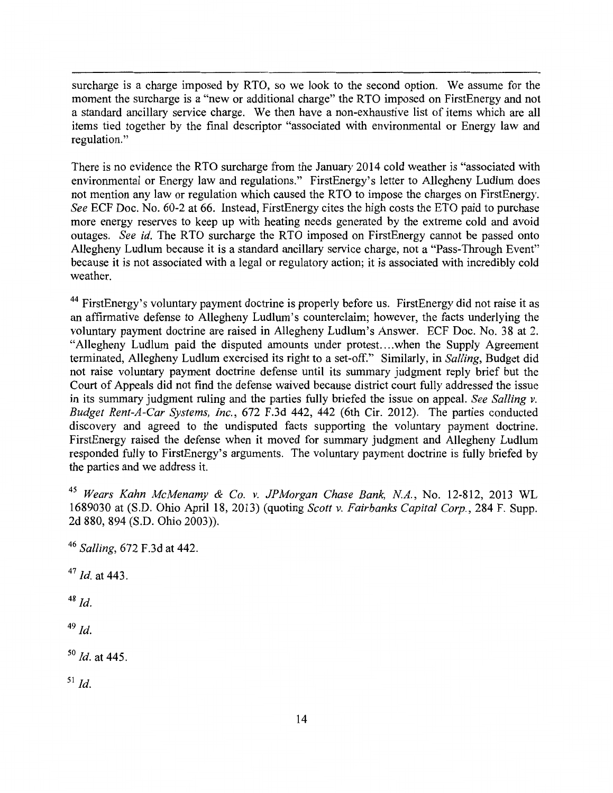surcharge is a charge imposed by RTO, so we look to the second option. We assume for the moment the surcharge is a "new or additional charge" the RTO imposed on FirstEnergy and not a standard ancillary service charge. We then have a non-exhaustive list of items which are all items tied together by the final descriptor "associated with environmental or Energy law and regulation."

There is no evidence the RTO surcharge from the January 2014 cold weather is "associated with environmental or Energy law and regulations." FirstEnergy's letter to Allegheny Ludlum does not mention any law or regulation which caused the RTO to impose the charges on FirstEnergy. *See* ECF Doc. No. 60-2 at 66. Instead, FirstEnergy cites the high costs the ETO paid to purchase more energy reserves to keep up with heating needs generated by the extreme cold and avoid outages. *See id.* The RTO surcharge the RTO imposed on FirstEnergy cannot be passed onto Allegheny Ludlum because it is a standard ancillary service charge, not a "Pass-Through Event" because it is not associated with a legal or regulatory action; it is associated with incredibly cold weather.

<sup>44</sup> FirstEnergy's voluntary payment doctrine is properly before us. FirstEnergy did not raise it as an affirmative defense to Allegheny Ludlum's counterclaim; however, the facts underlying the voluntary payment doctrine are raised in Allegheny Ludlum's Answer. ECF Doc. No. 38 at 2. "Allegheny Ludlum paid the disputed amounts under protest....when the Supply Agreement terminated, Allegheny Ludlum exercised its right to a set-off." Similarly, in *Salling,* Budget did not raise voluntary payment doctrine defense until its summary judgment reply brief but the Court of Appeals did not find the defense waived because district court fully addressed the issue in its summary judgment ruling and the parties fully briefed the issue on appeal. *See Salling v. Budget Rent-A-Car Systems, Inc.,* 672 F.3d 442, 442 (6th Cir. 2012). The parties conducted discovery and agreed to the undisputed facts supporting the voluntary payment doctrine. FirstEnergy raised the defense when it moved for summary judgment and Allegheny Ludlum responded fully to FirstEnergy's arguments. The voluntary payment doctrine is fully briefed by the parties and we address it.

<sup>45</sup>*Wears Kahn McMenamy* & *Co. v. JPMorgan Chase Bank, NA.,* No. 12-812, 2013 WL 1689030 at (S.D. Ohio April 18, 2013) (quoting *Scott v. Fairbanks Capital Corp.,* 284 F. Supp. 2d 880, 894 (S.D. Ohio 2003)).

<sup>46</sup>*Salling,* 672 F.3d at 442.

<sup>47</sup>*Id.* at 443.

 $48$  *Id.* 

 $49$  *Id.* 

so *Id.* at 445.

 $^{51}$  *Id.*